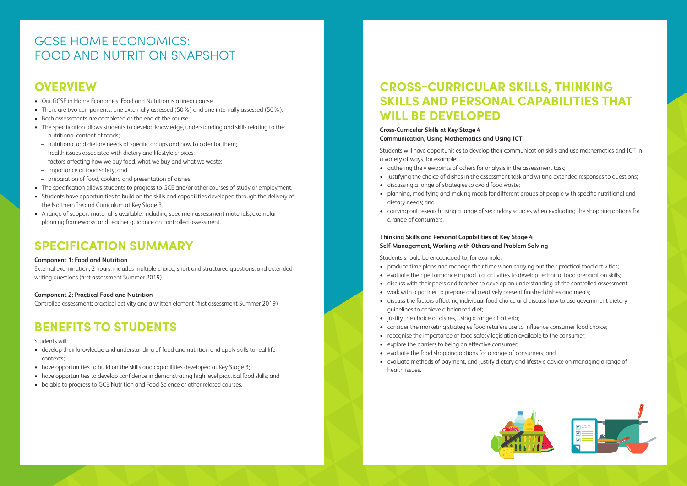# **OVERVIEW**

- Our GCSE in Home Economics: Food and Nutrition is a linear course.
- There are two components: one externally assessed (50%) and one internally assessed (50%).
- Both assessments are completed at the end of the course.
- The specification allows students to develop knowledge, understanding and skills relating to the: – nutritional content of foods;
- nutritional and dietary needs of specific groups and how to cater for them;
- health issues associated with dietary and lifestyle choices;
- factors affecting how we buy food, what we buy and what we waste;
- importance of food safety; and
- preparation of food, cooking and presentation of dishes.
- The specification allows students to progress to GCE and/or other courses of study or employment.
- Students have opportunities to build on the skills and capabilities developed through the delivery of the Northern Ireland Curriculum at Key Stage 3.
- A range of support material is available, including specimen assessment materials, exemplar planning frameworks, and teacher guidance on controlled assessment.

# **SPECIFICATION SUMMARY**

### **Component 1: Food and Nutrition**

External examination, 2 hours, includes multiple-choice, short and structured questions, and extended writing questions (first assessment Summer 2019)

### **Component 2: Practical Food and Nutrition**

Controlled assessment: practical activity and a written element (first assessment Summer 2019)

# **BENEFITS TO STUDENTS**

### Students will:

- develop their knowledge and understanding of food and nutrition and apply skills to real-life contexts;
- have opportunities to build on the skills and capabilities developed at Key Stage 3;
- have opportunities to develop confidence in demonstrating high level practical food skills; and
- be able to progress to GCE Nutrition and Food Science or other related courses.

# **CROSS-CURRICULAR SKILLS, THINKING SKILLS AND PERSONAL CAPABILITIES THAT WILL BE DEVELOPED**

### **Cross-Curricular Skills at Key Stage 4 Communication, Using Mathematics and Using ICT**

Students will have opportunities to develop their communication skills and use mathematics and ICT in a variety of ways, for example:

- gathering the viewpoints of others for analysis in the assessment task;
- 
- justifying the choice of dishes in the assessment task and writing extended responses to questions; • discussing a range of strategies to avoid food waste;
- planning, modifying and making meals for different groups of people with specific nutritional and dietary needs; and
- carrying out research using a range of secondary sources when evaluating the shopping options for a range of consumers.

### **Thinking Skills and Personal Capabilities at Key Stage 4 Self-Management, Working with Others and Problem Solving**

Students should be encouraged to, for example:

- produce time plans and manage their time when carrying out their practical food activities; • evaluate their performance in practical activities to develop technical food preparation skills; • discuss with their peers and teacher to develop an understanding of the controlled assessment; • work with a partner to prepare and creatively present finished dishes and meals;
- 
- 
- 
- discuss the factors affecting individual food choice and discuss how to use government dietary guidelines to achieve a balanced diet;
- justify the choice of dishes, using a range of criteria;
- 
- consider the marketing strategies food retailers use to influence consumer food choice; • recognise the importance of food safety legislation available to the consumer;
- explore the barriers to being an effective consumer;
- evaluate the food shopping options for a range of consumers; and • evaluate methods of payment, and justify dietary and lifestyle advice on managing a range of
- health issues.

# GCSE HOME ECONOMICS: FOOD AND NUTRITION SNAPSHOT